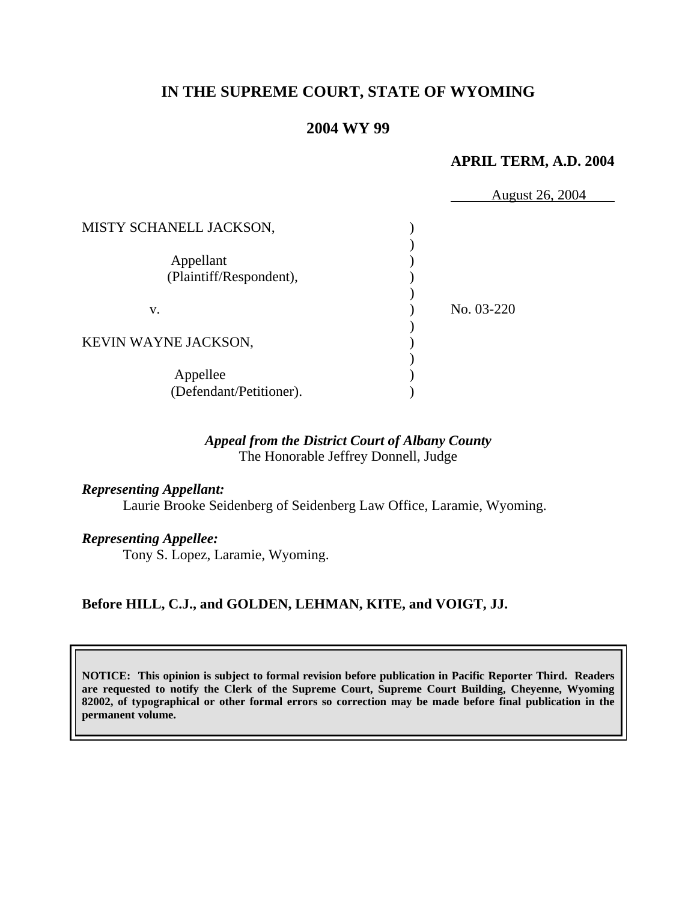# **IN THE SUPREME COURT, STATE OF WYOMING**

# **2004 WY 99**

#### **APRIL TERM, A.D. 2004**

|                         | August 26, 2004 |
|-------------------------|-----------------|
| MISTY SCHANELL JACKSON, |                 |
|                         |                 |
| Appellant               |                 |
| (Plaintiff/Respondent), |                 |
|                         |                 |
| V.                      | No. 03-220      |
|                         |                 |
| KEVIN WAYNE JACKSON,    |                 |
|                         |                 |
| Appellee                |                 |
| (Defendant/Petitioner). |                 |

#### *Appeal from the District Court of Albany County* The Honorable Jeffrey Donnell, Judge

#### *Representing Appellant:*

Laurie Brooke Seidenberg of Seidenberg Law Office, Laramie, Wyoming.

#### *Representing Appellee:*

Tony S. Lopez, Laramie, Wyoming.

# **Before HILL, C.J., and GOLDEN, LEHMAN, KITE, and VOIGT, JJ.**

**NOTICE: This opinion is subject to formal revision before publication in Pacific Reporter Third. Readers are requested to notify the Clerk of the Supreme Court, Supreme Court Building, Cheyenne, Wyoming 82002, of typographical or other formal errors so correction may be made before final publication in the permanent volume.**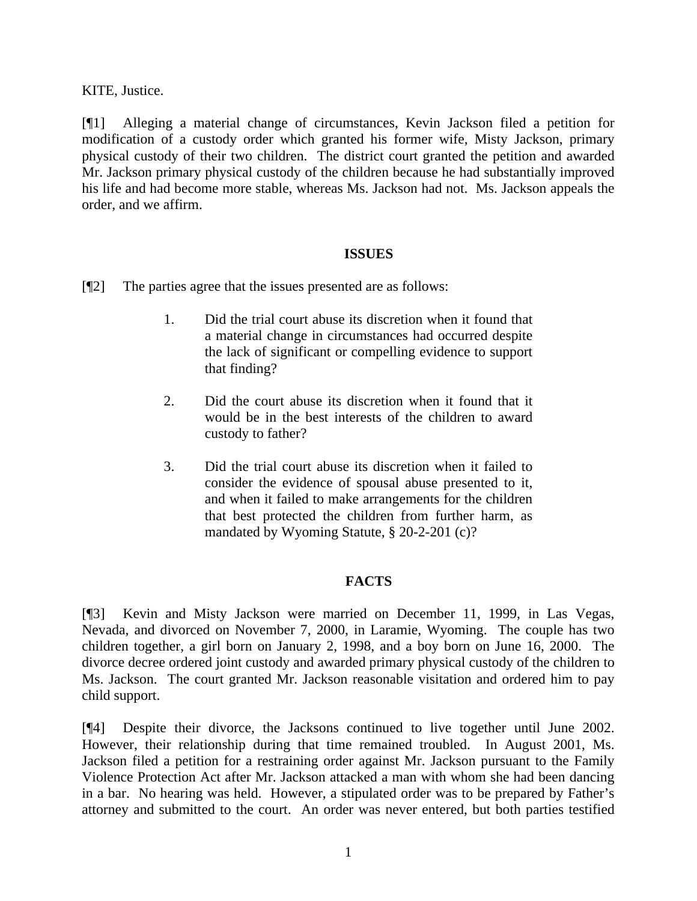KITE, Justice.

[¶1] Alleging a material change of circumstances, Kevin Jackson filed a petition for modification of a custody order which granted his former wife, Misty Jackson, primary physical custody of their two children. The district court granted the petition and awarded Mr. Jackson primary physical custody of the children because he had substantially improved his life and had become more stable, whereas Ms. Jackson had not. Ms. Jackson appeals the order, and we affirm.

#### **ISSUES**

[¶2] The parties agree that the issues presented are as follows:

- 1. Did the trial court abuse its discretion when it found that a material change in circumstances had occurred despite the lack of significant or compelling evidence to support that finding?
- 2. Did the court abuse its discretion when it found that it would be in the best interests of the children to award custody to father?
- 3. Did the trial court abuse its discretion when it failed to consider the evidence of spousal abuse presented to it, and when it failed to make arrangements for the children that best protected the children from further harm, as mandated by Wyoming Statute, § 20-2-201 (c)?

# **FACTS**

[¶3] Kevin and Misty Jackson were married on December 11, 1999, in Las Vegas, Nevada, and divorced on November 7, 2000, in Laramie, Wyoming. The couple has two children together, a girl born on January 2, 1998, and a boy born on June 16, 2000. The divorce decree ordered joint custody and awarded primary physical custody of the children to Ms. Jackson. The court granted Mr. Jackson reasonable visitation and ordered him to pay child support.

[¶4] Despite their divorce, the Jacksons continued to live together until June 2002. However, their relationship during that time remained troubled. In August 2001, Ms. Jackson filed a petition for a restraining order against Mr. Jackson pursuant to the Family Violence Protection Act after Mr. Jackson attacked a man with whom she had been dancing in a bar. No hearing was held. However, a stipulated order was to be prepared by Father's attorney and submitted to the court. An order was never entered, but both parties testified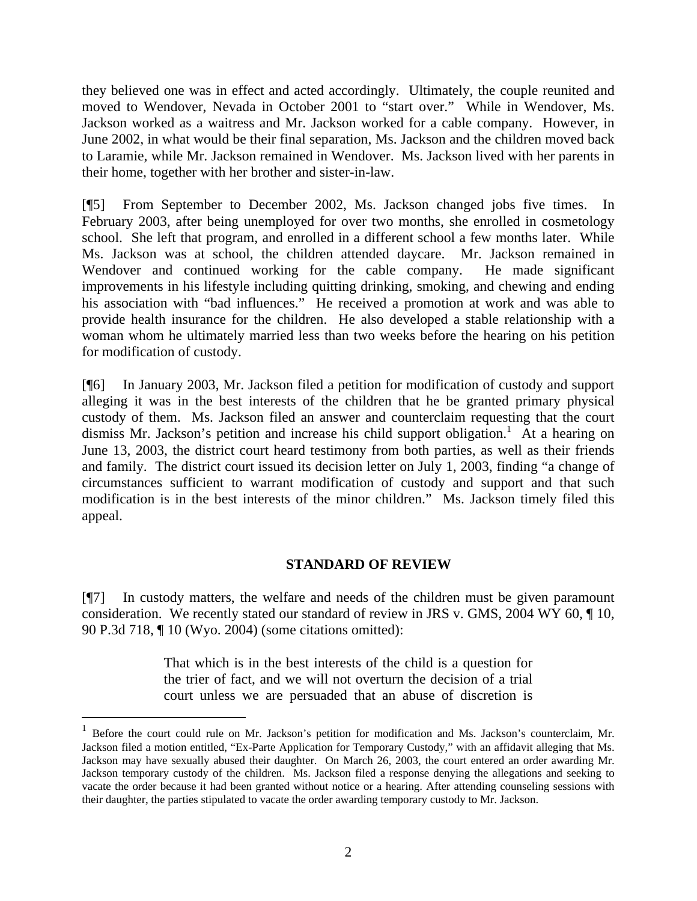they believed one was in effect and acted accordingly. Ultimately, the couple reunited and moved to Wendover, Nevada in October 2001 to "start over." While in Wendover, Ms. Jackson worked as a waitress and Mr. Jackson worked for a cable company. However, in June 2002, in what would be their final separation, Ms. Jackson and the children moved back to Laramie, while Mr. Jackson remained in Wendover. Ms. Jackson lived with her parents in their home, together with her brother and sister-in-law.

[¶5] From September to December 2002, Ms. Jackson changed jobs five times. In February 2003, after being unemployed for over two months, she enrolled in cosmetology school. She left that program, and enrolled in a different school a few months later. While Ms. Jackson was at school, the children attended daycare. Mr. Jackson remained in Wendover and continued working for the cable company. He made significant improvements in his lifestyle including quitting drinking, smoking, and chewing and ending his association with "bad influences." He received a promotion at work and was able to provide health insurance for the children. He also developed a stable relationship with a woman whom he ultimately married less than two weeks before the hearing on his petition for modification of custody.

[¶6] In January 2003, Mr. Jackson filed a petition for modification of custody and support alleging it was in the best interests of the children that he be granted primary physical custody of them. Ms. Jackson filed an answer and counterclaim requesting that the court dismiss Mr. Jackson's petition and increase his child support obligation.<sup>1</sup> At a hearing on June 13, 2003, the district court heard testimony from both parties, as well as their friends and family. The district court issued its decision letter on July 1, 2003, finding "a change of circumstances sufficient to warrant modification of custody and support and that such modification is in the best interests of the minor children." Ms. Jackson timely filed this appeal.

#### **STANDARD OF REVIEW**

[¶7] In custody matters, the welfare and needs of the children must be given paramount consideration. We recently stated our standard of review in JRS v. GMS, 2004 WY 60, ¶ 10, 90 P.3d 718, ¶ 10 (Wyo. 2004) (some citations omitted):

> That which is in the best interests of the child is a question for the trier of fact, and we will not overturn the decision of a trial court unless we are persuaded that an abuse of discretion is

<sup>1</sup> Before the court could rule on Mr. Jackson's petition for modification and Ms. Jackson's counterclaim, Mr. Jackson filed a motion entitled, "Ex-Parte Application for Temporary Custody," with an affidavit alleging that Ms. Jackson may have sexually abused their daughter. On March 26, 2003, the court entered an order awarding Mr. Jackson temporary custody of the children. Ms. Jackson filed a response denying the allegations and seeking to vacate the order because it had been granted without notice or a hearing. After attending counseling sessions with their daughter, the parties stipulated to vacate the order awarding temporary custody to Mr. Jackson.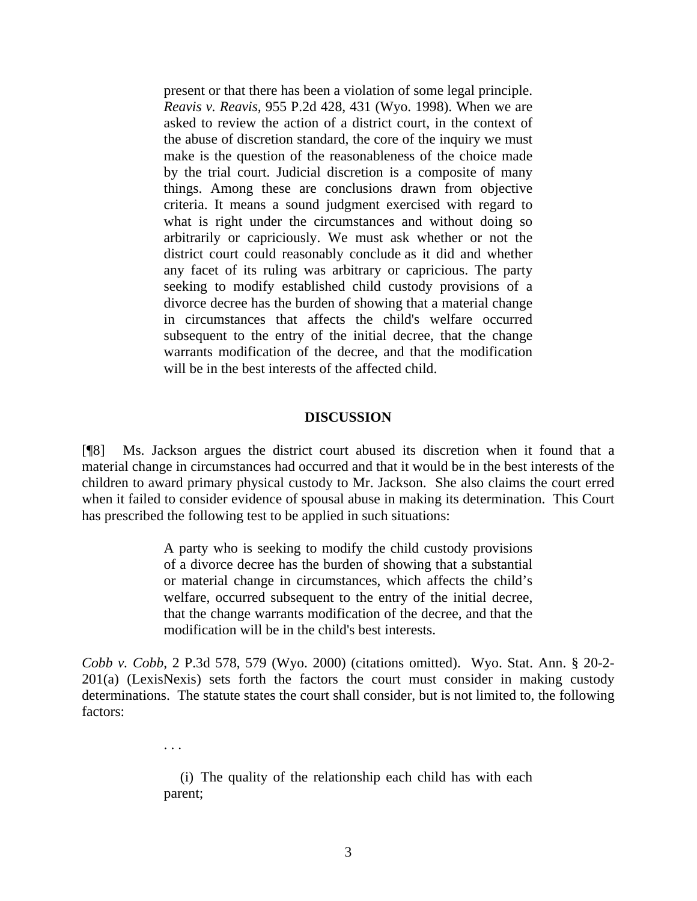present or that there has been a violation of some legal principle. *Reavis v. Reavis,* 955 P.2d 428, 431 (Wyo. 1998). When we are asked to review the action of a district court, in the context of the abuse of discretion standard, the core of the inquiry we must make is the question of the reasonableness of the choice made by the trial court. Judicial discretion is a composite of many things. Among these are conclusions drawn from objective criteria. It means a sound judgment exercised with regard to what is right under the circumstances and without doing so arbitrarily or capriciously. We must ask whether or not the district court could reasonably conclude as it did and whether any facet of its ruling was arbitrary or capricious. The party seeking to modify established child custody provisions of a divorce decree has the burden of showing that a material change in circumstances that affects the child's welfare occurred subsequent to the entry of the initial decree, that the change warrants modification of the decree, and that the modification will be in the best interests of the affected child.

#### **DISCUSSION**

[¶8] Ms. Jackson argues the district court abused its discretion when it found that a material change in circumstances had occurred and that it would be in the best interests of the children to award primary physical custody to Mr. Jackson. She also claims the court erred when it failed to consider evidence of spousal abuse in making its determination. This Court has prescribed the following test to be applied in such situations:

> A party who is seeking to modify the child custody provisions of a divorce decree has the burden of showing that a substantial or material change in circumstances, which affects the child's welfare, occurred subsequent to the entry of the initial decree, that the change warrants modification of the decree, and that the modification will be in the child's best interests.

*Cobb v. Cobb*, 2 P.3d 578, 579 (Wyo. 2000) (citations omitted). Wyo. Stat. Ann. § 20-2- 201(a) (LexisNexis) sets forth the factors the court must consider in making custody determinations. The statute states the court shall consider, but is not limited to, the following factors:

> (i) The quality of the relationship each child has with each parent;

. . .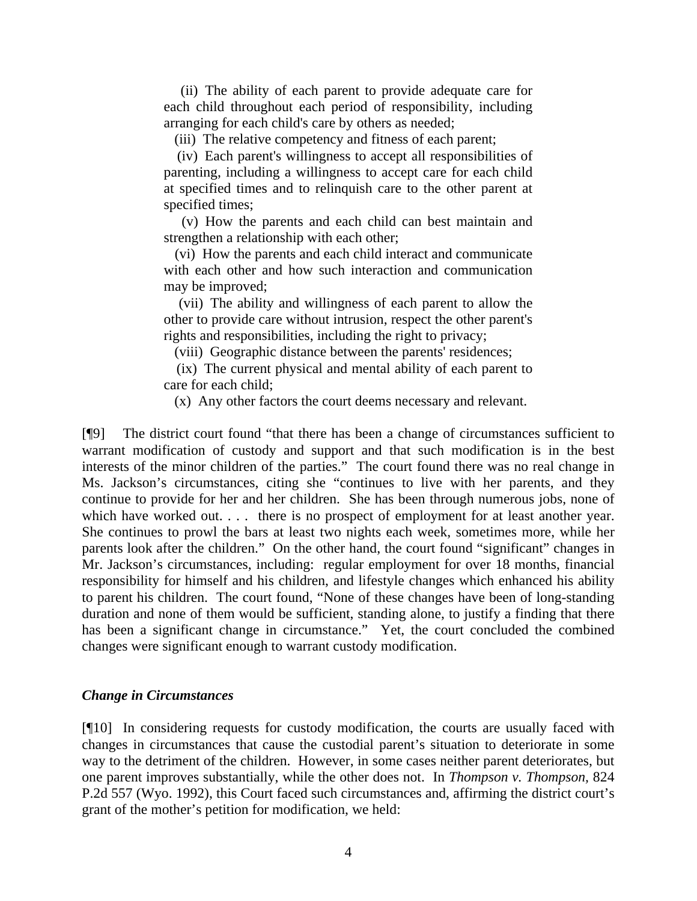(ii) The ability of each parent to provide adequate care for each child throughout each period of responsibility, including arranging for each child's care by others as needed;

(iii) The relative competency and fitness of each parent;

 (iv) Each parent's willingness to accept all responsibilities of parenting, including a willingness to accept care for each child at specified times and to relinquish care to the other parent at specified times;

 (v) How the parents and each child can best maintain and strengthen a relationship with each other;

 (vi) How the parents and each child interact and communicate with each other and how such interaction and communication may be improved;

 (vii) The ability and willingness of each parent to allow the other to provide care without intrusion, respect the other parent's rights and responsibilities, including the right to privacy;

(viii) Geographic distance between the parents' residences;

 (ix) The current physical and mental ability of each parent to care for each child;

(x) Any other factors the court deems necessary and relevant.

[¶9] The district court found "that there has been a change of circumstances sufficient to warrant modification of custody and support and that such modification is in the best interests of the minor children of the parties." The court found there was no real change in Ms. Jackson's circumstances, citing she "continues to live with her parents, and they continue to provide for her and her children. She has been through numerous jobs, none of which have worked out. . . . there is no prospect of employment for at least another year. She continues to prowl the bars at least two nights each week, sometimes more, while her parents look after the children." On the other hand, the court found "significant" changes in Mr. Jackson's circumstances, including: regular employment for over 18 months, financial responsibility for himself and his children, and lifestyle changes which enhanced his ability to parent his children. The court found, "None of these changes have been of long-standing duration and none of them would be sufficient, standing alone, to justify a finding that there has been a significant change in circumstance." Yet, the court concluded the combined changes were significant enough to warrant custody modification.

#### *Change in Circumstances*

[¶10] In considering requests for custody modification, the courts are usually faced with changes in circumstances that cause the custodial parent's situation to deteriorate in some way to the detriment of the children. However, in some cases neither parent deteriorates, but one parent improves substantially, while the other does not. In *Thompson v. Thompson,* 824 P.2d 557 (Wyo. 1992), this Court faced such circumstances and, affirming the district court's grant of the mother's petition for modification, we held: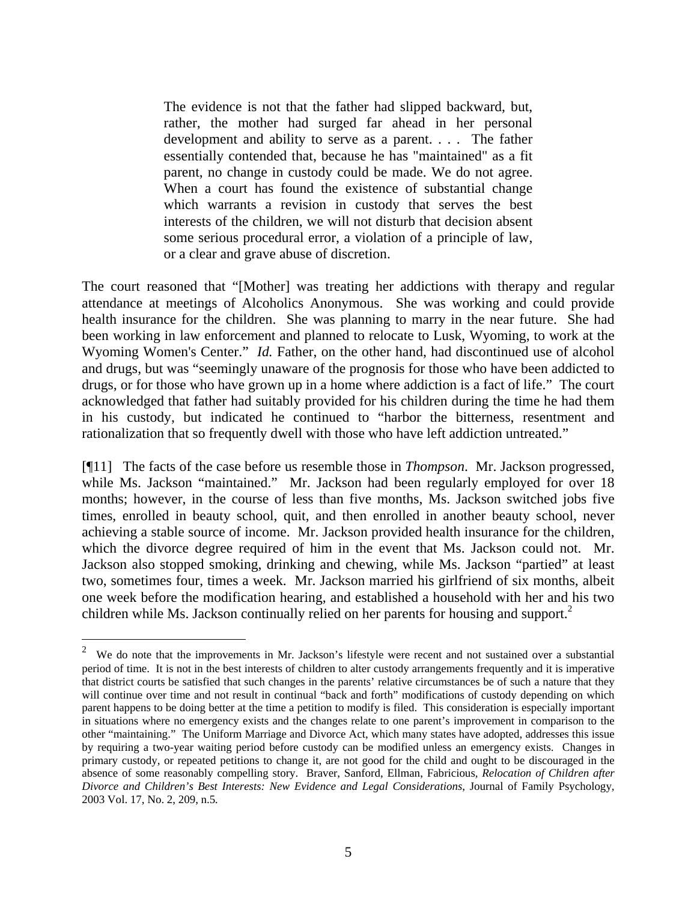The evidence is not that the father had slipped backward, but, rather, the mother had surged far ahead in her personal development and ability to serve as a parent. . . . The father essentially contended that, because he has "maintained" as a fit parent, no change in custody could be made. We do not agree. When a court has found the existence of substantial change which warrants a revision in custody that serves the best interests of the children, we will not disturb that decision absent some serious procedural error, a violation of a principle of law, or a clear and grave abuse of discretion.

The court reasoned that "[Mother] was treating her addictions with therapy and regular attendance at meetings of Alcoholics Anonymous. She was working and could provide health insurance for the children. She was planning to marry in the near future. She had been working in law enforcement and planned to relocate to Lusk, Wyoming, to work at the Wyoming Women's Center." *Id.* Father, on the other hand, had discontinued use of alcohol and drugs, but was "seemingly unaware of the prognosis for those who have been addicted to drugs, or for those who have grown up in a home where addiction is a fact of life." The court acknowledged that father had suitably provided for his children during the time he had them in his custody, but indicated he continued to "harbor the bitterness, resentment and rationalization that so frequently dwell with those who have left addiction untreated."

[¶11] The facts of the case before us resemble those in *Thompson*. Mr. Jackson progressed, while Ms. Jackson "maintained." Mr. Jackson had been regularly employed for over 18 months; however, in the course of less than five months, Ms. Jackson switched jobs five times, enrolled in beauty school, quit, and then enrolled in another beauty school, never achieving a stable source of income. Mr. Jackson provided health insurance for the children, which the divorce degree required of him in the event that Ms. Jackson could not. Mr. Jackson also stopped smoking, drinking and chewing, while Ms. Jackson "partied" at least two, sometimes four, times a week. Mr. Jackson married his girlfriend of six months, albeit one week before the modification hearing, and established a household with her and his two children while Ms. Jackson continually relied on her parents for housing and support.<sup>2</sup>

 $2$  We do note that the improvements in Mr. Jackson's lifestyle were recent and not sustained over a substantial period of time. It is not in the best interests of children to alter custody arrangements frequently and it is imperative that district courts be satisfied that such changes in the parents' relative circumstances be of such a nature that they will continue over time and not result in continual "back and forth" modifications of custody depending on which parent happens to be doing better at the time a petition to modify is filed. This consideration is especially important in situations where no emergency exists and the changes relate to one parent's improvement in comparison to the other "maintaining." The Uniform Marriage and Divorce Act, which many states have adopted, addresses this issue by requiring a two-year waiting period before custody can be modified unless an emergency exists. Changes in primary custody, or repeated petitions to change it, are not good for the child and ought to be discouraged in the absence of some reasonably compelling story. Braver, Sanford, Ellman, Fabricious*, Relocation of Children after Divorce and Children's Best Interests: New Evidence and Legal Considerations*, Journal of Family Psychology*,*  2003 Vol. 17, No. 2, 209, n.5*.*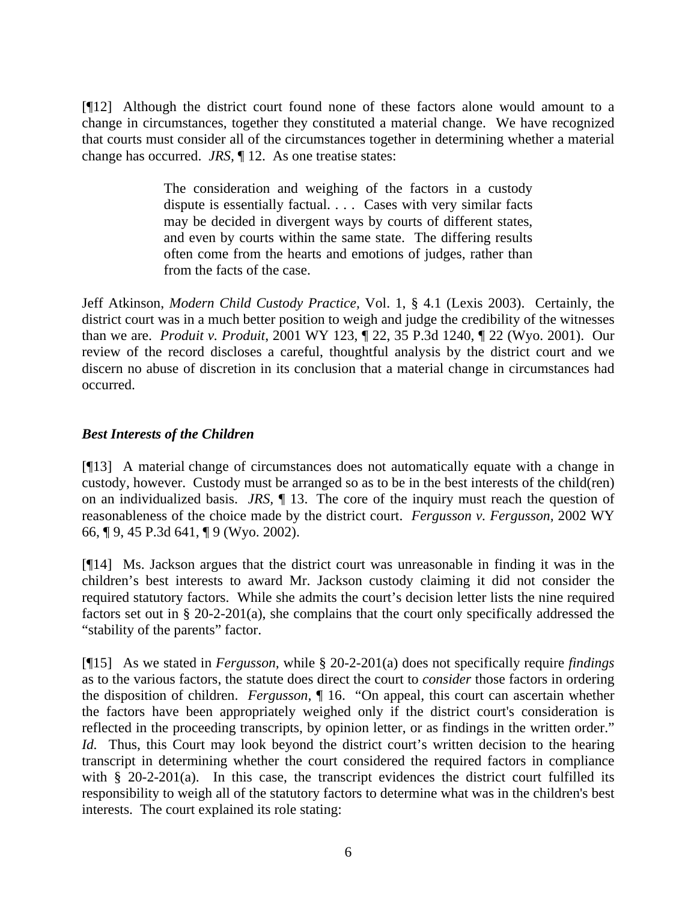[¶12] Although the district court found none of these factors alone would amount to a change in circumstances, together they constituted a material change. We have recognized that courts must consider all of the circumstances together in determining whether a material change has occurred. *JRS,* ¶ 12. As one treatise states:

> The consideration and weighing of the factors in a custody dispute is essentially factual. . . . Cases with very similar facts may be decided in divergent ways by courts of different states, and even by courts within the same state. The differing results often come from the hearts and emotions of judges, rather than from the facts of the case.

Jeff Atkinson, *Modern Child Custody Practice,* Vol. 1, § 4.1 (Lexis 2003). Certainly, the district court was in a much better position to weigh and judge the credibility of the witnesses than we are. *Produit v. Produit*, 2001 WY 123, ¶ 22, 35 P.3d 1240, ¶ 22 (Wyo. 2001). Our review of the record discloses a careful, thoughtful analysis by the district court and we discern no abuse of discretion in its conclusion that a material change in circumstances had occurred.

# *Best Interests of the Children*

[¶13] A material change of circumstances does not automatically equate with a change in custody, however. Custody must be arranged so as to be in the best interests of the child(ren) on an individualized basis. *JRS,* ¶ 13. The core of the inquiry must reach the question of reasonableness of the choice made by the district court. *Fergusson v. Fergusson,* 2002 WY 66, ¶ 9, 45 P.3d 641, ¶ 9 (Wyo. 2002).

[¶14] Ms. Jackson argues that the district court was unreasonable in finding it was in the children's best interests to award Mr. Jackson custody claiming it did not consider the required statutory factors. While she admits the court's decision letter lists the nine required factors set out in § 20-2-201(a), she complains that the court only specifically addressed the "stability of the parents" factor.

[¶15] As we stated in *Fergusson,* while § 20-2-201(a) does not specifically require *findings* as to the various factors, the statute does direct the court to *consider* those factors in ordering the disposition of children. *Fergusson,* ¶ 16. "On appeal, this court can ascertain whether the factors have been appropriately weighed only if the district court's consideration is reflected in the proceeding transcripts, by opinion letter, or as findings in the written order." *Id.* Thus, this Court may look beyond the district court's written decision to the hearing transcript in determining whether the court considered the required factors in compliance with § 20-2-201(a). In this case, the transcript evidences the district court fulfilled its responsibility to weigh all of the statutory factors to determine what was in the children's best interests. The court explained its role stating: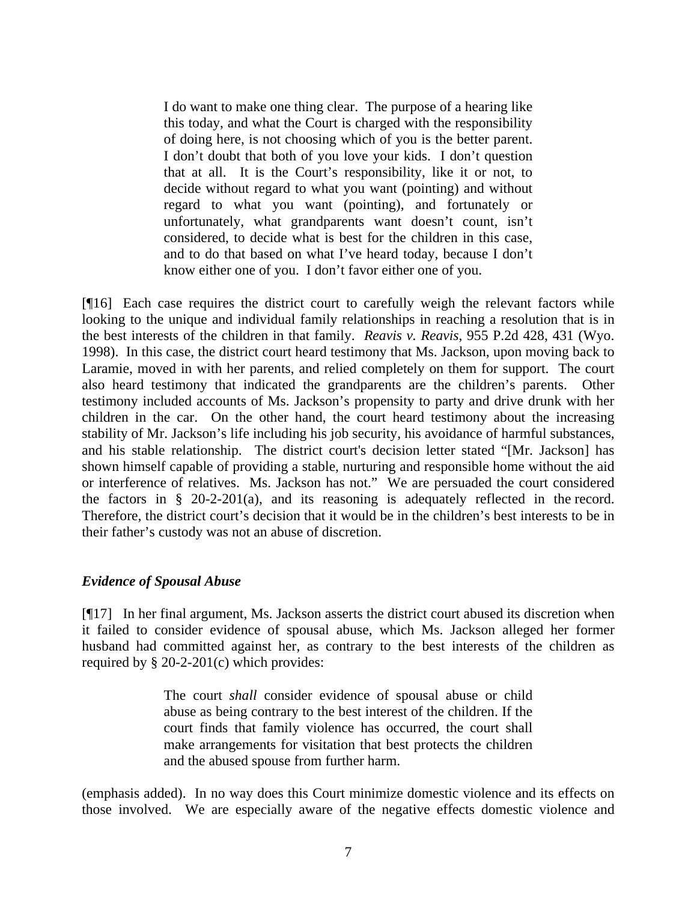I do want to make one thing clear. The purpose of a hearing like this today, and what the Court is charged with the responsibility of doing here, is not choosing which of you is the better parent. I don't doubt that both of you love your kids. I don't question that at all. It is the Court's responsibility, like it or not, to decide without regard to what you want (pointing) and without regard to what you want (pointing), and fortunately or unfortunately, what grandparents want doesn't count, isn't considered, to decide what is best for the children in this case, and to do that based on what I've heard today, because I don't know either one of you. I don't favor either one of you.

[¶16] Each case requires the district court to carefully weigh the relevant factors while looking to the unique and individual family relationships in reaching a resolution that is in the best interests of the children in that family. *Reavis v. Reavis*, 955 P.2d 428, 431 (Wyo. 1998). In this case, the district court heard testimony that Ms. Jackson, upon moving back to Laramie, moved in with her parents, and relied completely on them for support. The court also heard testimony that indicated the grandparents are the children's parents. Other testimony included accounts of Ms. Jackson's propensity to party and drive drunk with her children in the car. On the other hand, the court heard testimony about the increasing stability of Mr. Jackson's life including his job security, his avoidance of harmful substances, and his stable relationship. The district court's decision letter stated "[Mr. Jackson] has shown himself capable of providing a stable, nurturing and responsible home without the aid or interference of relatives. Ms. Jackson has not." We are persuaded the court considered the factors in § 20-2-201(a), and its reasoning is adequately reflected in the record. Therefore, the district court's decision that it would be in the children's best interests to be in their father's custody was not an abuse of discretion.

# *Evidence of Spousal Abuse*

[¶17] In her final argument, Ms. Jackson asserts the district court abused its discretion when it failed to consider evidence of spousal abuse, which Ms. Jackson alleged her former husband had committed against her, as contrary to the best interests of the children as required by  $\S 20-2-201(c)$  which provides:

> The court *shall* consider evidence of spousal abuse or child abuse as being contrary to the best interest of the children. If the court finds that family violence has occurred, the court shall make arrangements for visitation that best protects the children and the abused spouse from further harm.

(emphasis added). In no way does this Court minimize domestic violence and its effects on those involved. We are especially aware of the negative effects domestic violence and